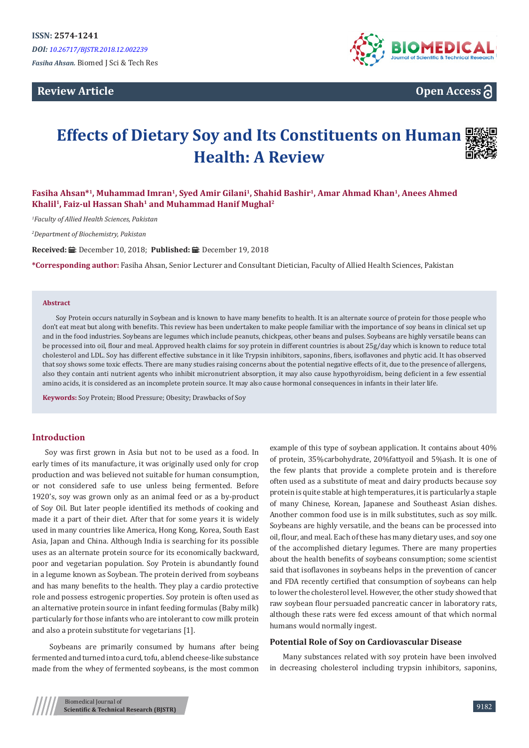**Review Article**



**Open Access**

# **Effects of Dietary Soy and Its Constituents on Human Health: A Review**



## **Fasiha Ahsan\*<sup>1</sup>, Muhammad Imran<sup>1</sup>, Syed Amir Gilani<sup>1</sup>, Shahid Bashir<sup>1</sup>, Amar Ahmad Khan<sup>1</sup>, Anees Ahmed Khalil<sup>1</sup>, Faiz-ul Hassan Shah<sup>1</sup> and Muhammad Hanif Mughal<sup>2</sup>**

*1 Faculty of Allied Health Sciences, Pakistan*

*2 Department of Biochemistry, Pakistan*

Received: *:* .: December 10, 2018; Published: .: December 19, 2018

**\*Corresponding author:** Fasiha Ahsan, Senior Lecturer and Consultant Dietician, Faculty of Allied Health Sciences, Pakistan

#### **Abstract**

Soy Protein occurs naturally in Soybean and is known to have many benefits to health. It is an alternate source of protein for those people who don't eat meat but along with benefits. This review has been undertaken to make people familiar with the importance of soy beans in clinical set up and in the food industries. Soybeans are legumes which include peanuts, chickpeas, other beans and pulses. Soybeans are highly versatile beans can be processed into oil, flour and meal. Approved health claims for soy protein in different countries is about 25g/day which is known to reduce total cholesterol and LDL. Soy has different effective substance in it like Trypsin inhibitors, saponins, fibers, isoflavones and phytic acid. It has observed that soy shows some toxic effects. There are many studies raising concerns about the potential negative effects of it, due to the presence of allergens, also they contain anti nutrient agents who inhibit micronutrient absorption, it may also cause hypothyroidism, being deficient in a few essential amino acids, it is considered as an incomplete protein source. It may also cause hormonal consequences in infants in their later life.

**Keywords:** Soy Protein; Blood Pressure; Obesity; Drawbacks of Soy

#### **Introduction**

Soy was first grown in Asia but not to be used as a food. In early times of its manufacture, it was originally used only for crop production and was believed not suitable for human consumption, or not considered safe to use unless being fermented. Before 1920's, soy was grown only as an animal feed or as a by-product of Soy Oil. But later people identified its methods of cooking and made it a part of their diet. After that for some years it is widely used in many countries like America, Hong Kong, Korea, South East Asia, Japan and China. Although India is searching for its possible uses as an alternate protein source for its economically backward, poor and vegetarian population. Soy Protein is abundantly found in a legume known as Soybean. The protein derived from soybeans and has many benefits to the health. They play a cardio protective role and possess estrogenic properties. Soy protein is often used as an alternative protein source in infant feeding formulas (Baby milk) particularly for those infants who are intolerant to cow milk protein and also a protein substitute for vegetarians [1].

 Soybeans are primarily consumed by humans after being fermented and turned into a curd, tofu, a blend cheese-like substance made from the whey of fermented soybeans, is the most common

example of this type of soybean application. It contains about 40% of protein, 35%carbohydrate, 20%fattyoil and 5%ash. It is one of the few plants that provide a complete protein and is therefore often used as a substitute of meat and dairy products because soy protein is quite stable at high temperatures, it is particularly a staple of many Chinese, Korean, Japanese and Southeast Asian dishes. Another common food use is in milk substitutes, such as soy milk. Soybeans are highly versatile, and the beans can be processed into oil, flour, and meal. Each of these has many dietary uses, and soy one of the accomplished dietary legumes. There are many properties about the health benefits of soybeans consumption; some scientist said that isoflavones in soybeans helps in the prevention of cancer and FDA recently certified that consumption of soybeans can help to lower the cholesterol level. However, the other study showed that raw soybean flour persuaded pancreatic cancer in laboratory rats, although these rats were fed excess amount of that which normal humans would normally ingest.

#### **Potential Role of Soy on Cardiovascular Disease**

Many substances related with soy protein have been involved in decreasing cholesterol including trypsin inhibitors, saponins,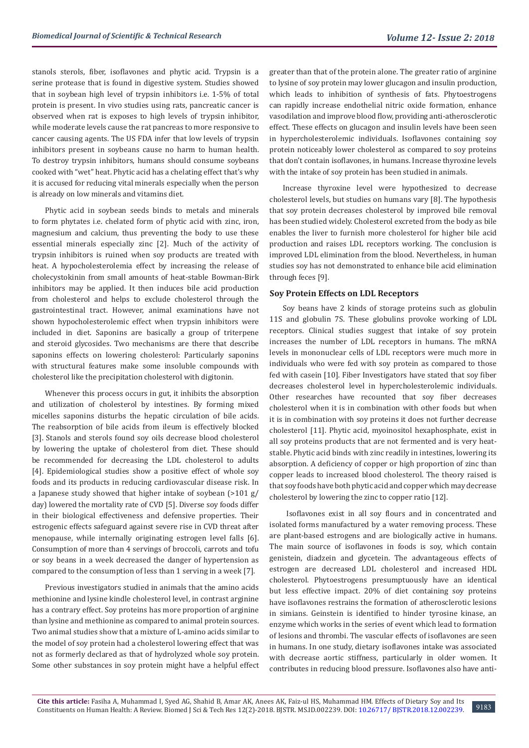stanols sterols, fiber, isoflavones and phytic acid. Trypsin is a serine protease that is found in digestive system. Studies showed that in soybean high level of trypsin inhibitors i.e. 1-5% of total protein is present. In vivo studies using rats, pancreatic cancer is observed when rat is exposes to high levels of trypsin inhibitor, while moderate levels cause the rat pancreas to more responsive to cancer causing agents. The US FDA infer that low levels of trypsin inhibitors present in soybeans cause no harm to human health. To destroy trypsin inhibitors, humans should consume soybeans cooked with "wet" heat. Phytic acid has a chelating effect that's why it is accused for reducing vital minerals especially when the person is already on low minerals and vitamins diet.

Phytic acid in soybean seeds binds to metals and minerals to form phytates i.e. chelated form of phytic acid with zinc, iron, magnesium and calcium, thus preventing the body to use these essential minerals especially zinc [2]. Much of the activity of trypsin inhibitors is ruined when soy products are treated with heat. A hypocholesterolemia effect by increasing the release of cholecystokinin from small amounts of heat-stable Bowman-Birk inhibitors may be applied. It then induces bile acid production from cholesterol and helps to exclude cholesterol through the gastrointestinal tract. However, animal examinations have not shown hypocholesterolemic effect when trypsin inhibitors were included in diet. Saponins are basically a group of triterpene and steroid glycosides. Two mechanisms are there that describe saponins effects on lowering cholesterol: Particularly saponins with structural features make some insoluble compounds with cholesterol like the precipitation cholesterol with digitonin.

Whenever this process occurs in gut, it inhibits the absorption and utilization of cholesterol by intestines. By forming mixed micelles saponins disturbs the hepatic circulation of bile acids. The reabsorption of bile acids from ileum is effectively blocked [3]. Stanols and sterols found soy oils decrease blood cholesterol by lowering the uptake of cholesterol from diet. These should be recommended for decreasing the LDL cholesterol to adults [4]. Epidemiological studies show a positive effect of whole soy foods and its products in reducing cardiovascular disease risk. In a Japanese study showed that higher intake of soybean (>101 g/ day) lowered the mortality rate of CVD [5]. Diverse soy foods differ in their biological effectiveness and defensive properties. Their estrogenic effects safeguard against severe rise in CVD threat after menopause, while internally originating estrogen level falls [6]. Consumption of more than 4 servings of broccoli, carrots and tofu or soy beans in a week decreased the danger of hypertension as compared to the consumption of less than 1 serving in a week [7].

Previous investigators studied in animals that the amino acids methionine and lysine kindle cholesterol level, in contrast arginine has a contrary effect. Soy proteins has more proportion of arginine than lysine and methionine as compared to animal protein sources. Two animal studies show that a mixture of L-amino acids similar to the model of soy protein had a cholesterol lowering effect that was not as formerly declared as that of hydrolyzed whole soy protein. Some other substances in soy protein might have a helpful effect greater than that of the protein alone. The greater ratio of arginine to lysine of soy protein may lower glucagon and insulin production, which leads to inhibition of synthesis of fats. Phytoestrogens can rapidly increase endothelial nitric oxide formation, enhance vasodilation and improve blood flow, providing anti-atherosclerotic effect. These effects on glucagon and insulin levels have been seen in hypercholesterolemic individuals. Isoflavones containing soy protein noticeably lower cholesterol as compared to soy proteins that don't contain isoflavones, in humans. Increase thyroxine levels with the intake of soy protein has been studied in animals.

Increase thyroxine level were hypothesized to decrease cholesterol levels, but studies on humans vary [8]. The hypothesis that soy protein decreases cholesterol by improved bile removal has been studied widely. Cholesterol excreted from the body as bile enables the liver to furnish more cholesterol for higher bile acid production and raises LDL receptors working. The conclusion is improved LDL elimination from the blood. Nevertheless, in human studies soy has not demonstrated to enhance bile acid elimination through feces [9].

#### **Soy Protein Effects on LDL Receptors**

Soy beans have 2 kinds of storage proteins such as globulin 11S and globulin 7S. These globulins provoke working of LDL receptors. Clinical studies suggest that intake of soy protein increases the number of LDL receptors in humans. The mRNA levels in mononuclear cells of LDL receptors were much more in individuals who were fed with soy protein as compared to those fed with casein [10]. Fiber Investigators have stated that soy fiber decreases cholesterol level in hypercholesterolemic individuals. Other researches have recounted that soy fiber decreases cholesterol when it is in combination with other foods but when it is in combination with soy proteins it does not further decrease cholesterol [11]. Phytic acid, myoinositol hexaphosphate, exist in all soy proteins products that are not fermented and is very heatstable. Phytic acid binds with zinc readily in intestines, lowering its absorption. A deficiency of copper or high proportion of zinc than copper leads to increased blood cholesterol. The theory raised is that soy foods have both phytic acid and copper which may decrease cholesterol by lowering the zinc to copper ratio [12].

 Isoflavones exist in all soy flours and in concentrated and isolated forms manufactured by a water removing process. These are plant-based estrogens and are biologically active in humans. The main source of isoflavones in foods is soy, which contain genistein, diadzein and glycetein. The advantageous effects of estrogen are decreased LDL cholesterol and increased HDL cholesterol. Phytoestrogens presumptuously have an identical but less effective impact. 20% of diet containing soy proteins have isoflavones restrains the formation of atherosclerotic lesions in simians. Geinstein is identified to hinder tyrosine kinase, an enzyme which works in the series of event which lead to formation of lesions and thrombi. The vascular effects of isoflavones are seen in humans. In one study, dietary isoflavones intake was associated with decrease aortic stiffness, particularly in older women. It contributes in reducing blood pressure. Isoflavones also have anti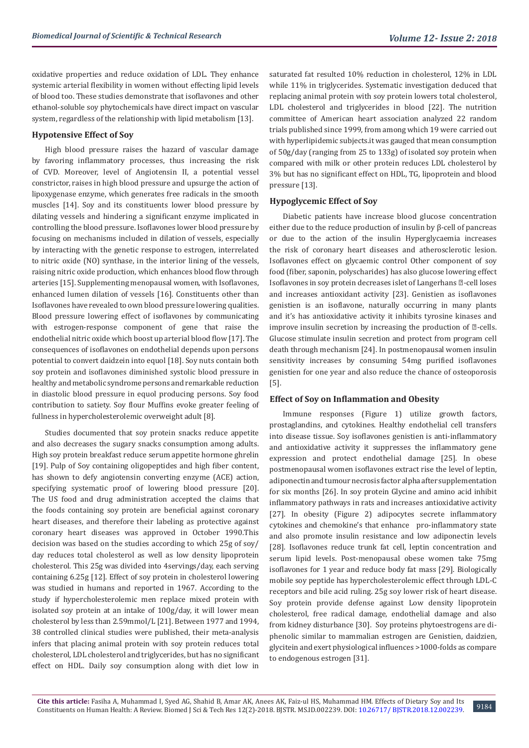oxidative properties and reduce oxidation of LDL. They enhance systemic arterial flexibility in women without effecting lipid levels of blood too. These studies demonstrate that isoflavones and other ethanol-soluble soy phytochemicals have direct impact on vascular system, regardless of the relationship with lipid metabolism [13].

### **Hypotensive Effect of Soy**

High blood pressure raises the hazard of vascular damage by favoring inflammatory processes, thus increasing the risk of CVD. Moreover, level of Angiotensin II, a potential vessel constrictor, raises in high blood pressure and upsurge the action of lipoxygenase enzyme, which generates free radicals in the smooth muscles [14]. Soy and its constituents lower blood pressure by dilating vessels and hindering a significant enzyme implicated in controlling the blood pressure. Isoflavones lower blood pressure by focusing on mechanisms included in dilation of vessels, especially by interacting with the genetic response to estrogen, interrelated to nitric oxide (NO) synthase, in the interior lining of the vessels, raising nitric oxide production, which enhances blood flow through arteries [15]. Supplementing menopausal women, with Isoflavones, enhanced lumen dilation of vessels [16]. Constituents other than Isoflavones have revealed to own blood pressure lowering qualities. Blood pressure lowering effect of isoflavones by communicating with estrogen-response component of gene that raise the endothelial nitric oxide which boost up arterial blood flow [17]. The consequences of isoflavones on endothelial depends upon persons potential to convert daidzein into equol [18]. Soy nuts contain both soy protein and isoflavones diminished systolic blood pressure in healthy and metabolic syndrome persons and remarkable reduction in diastolic blood pressure in equol producing persons. Soy food contribution to satiety. Soy flour Muffins evoke greater feeling of fullness in hypercholesterolemic overweight adult [8].

Studies documented that soy protein snacks reduce appetite and also decreases the sugary snacks consumption among adults. High soy protein breakfast reduce serum appetite hormone ghrelin [19]. Pulp of Soy containing oligopeptides and high fiber content, has shown to defy angiotensin converting enzyme (ACE) action, specifying systematic proof of lowering blood pressure [20]. The US food and drug administration accepted the claims that the foods containing soy protein are beneficial against coronary heart diseases, and therefore their labeling as protective against coronary heart diseases was approved in October 1990.This decision was based on the studies according to which 25g of soy/ day reduces total cholesterol as well as low density lipoprotein cholesterol. This 25g was divided into 4servings/day, each serving containing 6.25g [12]. Effect of soy protein in cholesterol lowering was studied in humans and reported in 1967. According to the study if hypercholesterolemic men replace mixed protein with isolated soy protein at an intake of 100g/day, it will lower mean cholesterol by less than 2.59mmol/L [21]. Between 1977 and 1994, 38 controlled clinical studies were published, their meta-analysis infers that placing animal protein with soy protein reduces total cholesterol, LDL cholesterol and triglycerides, but has no significant effect on HDL. Daily soy consumption along with diet low in

saturated fat resulted 10% reduction in cholesterol, 12% in LDL while 11% in triglycerides. Systematic investigation deduced that replacing animal protein with soy protein lowers total cholesterol, LDL cholesterol and triglycerides in blood [22]. The nutrition committee of American heart association analyzed 22 random trials published since 1999, from among which 19 were carried out with hyperlipidemic subjects.it was gauged that mean consumption of 50g/day (ranging from 25 to 133g) of isolated soy protein when compared with milk or other protein reduces LDL cholesterol by 3% but has no significant effect on HDL, TG, lipoprotein and blood pressure [13].

#### **Hypoglycemic Effect of Soy**

Diabetic patients have increase blood glucose concentration either due to the reduce production of insulin by β-cell of pancreas or due to the action of the insulin Hyperglycaemia increases the risk of coronary heart diseases and atherosclerotic lesion. Isoflavones effect on glycaemic control Other component of soy food (fiber, saponin, polyscharides) has also glucose lowering effect Isoflavones in soy protein decreases islet of Langerhans **a**-cell loses and increases antioxidant activity [23]. Genistien as isoflavones genistien is an isoflavone, naturally occurring in many plants and it's has antioxidative activity it inhibits tyrosine kinases and improve insulin secretion by increasing the production of  $\mathbb{Z}-$ cells. Glucose stimulate insulin secretion and protect from program cell death through mechanism [24]. In postmenopausal women insulin sensitivity increases by consuming 54mg purified isoflavones genistien for one year and also reduce the chance of osteoporosis [5].

#### **Effect of Soy on Inflammation and Obesity**

Immune responses (Figure 1) utilize growth factors, prostaglandins, and cytokines. Healthy endothelial cell transfers into disease tissue. Soy isoflavones genistien is anti-inflammatory and antioxidative activity it suppresses the inflammatory gene expression and protect endothelial damage [25]. In obese postmenopausal women isoflavones extract rise the level of leptin, adiponectin and tumour necrosis factor alpha after supplementation for six months [26]. In soy protein Glycine and amino acid inhibit inflammatory pathways in rats and increases antioxidative activity [27]. In obesity (Figure 2) adipocytes secrete inflammatory cytokines and chemokine's that enhance pro-inflammatory state and also promote insulin resistance and low adiponectin levels [28]. Isoflavones reduce trunk fat cell, leptin concentration and serum lipid levels. Post-menopausal obese women take 75mg isoflavones for 1 year and reduce body fat mass [29]. Biologically mobile soy peptide has hypercholesterolemic effect through LDL-C receptors and bile acid ruling. 25g soy lower risk of heart disease. Soy protein provide defense against Low density lipoprotein cholesterol, free radical damage, endothelial damage and also from kidney disturbance [30]. Soy proteins phytoestrogens are diphenolic similar to mammalian estrogen are Genistien, daidzien, glycitein and exert physiological influences >1000-folds as compare to endogenous estrogen [31].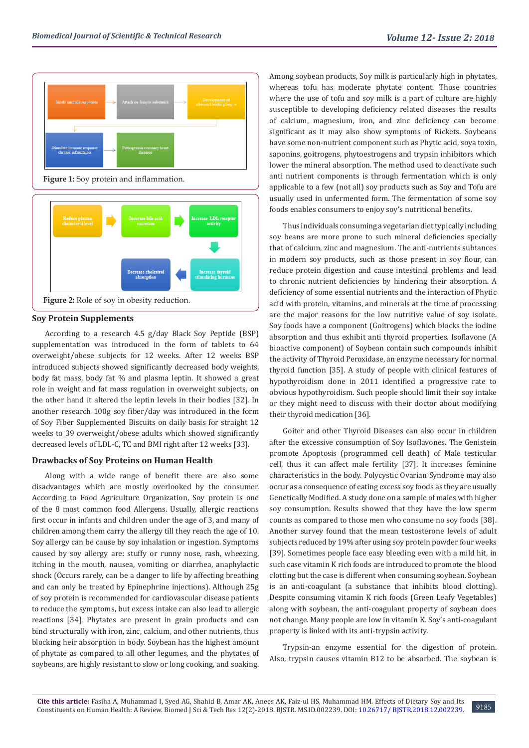



#### **Soy Protein Supplements**

According to a research 4.5 g/day Black Soy Peptide (BSP) supplementation was introduced in the form of tablets to 64 overweight/obese subjects for 12 weeks. After 12 weeks BSP introduced subjects showed significantly decreased body weights, body fat mass, body fat % and plasma leptin. It showed a great role in weight and fat mass regulation in overweight subjects, on the other hand it altered the leptin levels in their bodies [32]. In another research 100g soy fiber/day was introduced in the form of Soy Fiber Supplemented Biscuits on daily basis for straight 12 weeks to 39 overweight/obese adults which showed significantly decreased levels of LDL-C, TC and BMI right after 12 weeks [33].

#### **Drawbacks of Soy Proteins on Human Health**

Along with a wide range of benefit there are also some disadvantages which are mostly overlooked by the consumer. According to Food Agriculture Organization, Soy protein is one of the 8 most common food Allergens. Usually, allergic reactions first occur in infants and children under the age of 3, and many of children among them carry the allergy till they reach the age of 10. Soy allergy can be cause by soy inhalation or ingestion. Symptoms caused by soy allergy are: stuffy or runny nose, rash, wheezing, itching in the mouth, nausea, vomiting or diarrhea, anaphylactic shock (Occurs rarely, can be a danger to life by affecting breathing and can only be treated by Epinephrine injections). Although 25g of soy protein is recommended for cardiovascular disease patients to reduce the symptoms, but excess intake can also lead to allergic reactions [34]. Phytates are present in grain products and can bind structurally with iron, zinc, calcium, and other nutrients, thus blocking heir absorption in body. Soybean has the highest amount of phytate as compared to all other legumes, and the phytates of soybeans, are highly resistant to slow or long cooking, and soaking.

Among soybean products, Soy milk is particularly high in phytates, whereas tofu has moderate phytate content. Those countries where the use of tofu and soy milk is a part of culture are highly susceptible to developing deficiency related diseases the results of calcium, magnesium, iron, and zinc deficiency can become significant as it may also show symptoms of Rickets. Soybeans have some non-nutrient component such as Phytic acid, soya toxin, saponins, goitrogens, phytoestrogens and trypsin inhibitors which lower the mineral absorption. The method used to deactivate such anti nutrient components is through fermentation which is only applicable to a few (not all) soy products such as Soy and Tofu are usually used in unfermented form. The fermentation of some soy foods enables consumers to enjoy soy's nutritional benefits.

Thus individuals consuming a vegetarian diet typically including soy beans are more prone to such mineral deficiencies specially that of calcium, zinc and magnesium. The anti-nutrients subtances in modern soy products, such as those present in soy flour, can reduce protein digestion and cause intestinal problems and lead to chronic nutrient deficiencies by hindering their absorption. A deficiency of some essential nutrients and the interaction of Phytic acid with protein, vitamins, and minerals at the time of processing are the major reasons for the low nutritive value of soy isolate. Soy foods have a component (Goitrogens) which blocks the iodine absorption and thus exhibit anti thyroid properties. Isoflavone (A bioactive component) of Soybean contain such compounds inhibit the activity of Thyroid Peroxidase, an enzyme necessary for normal thyroid function [35]. A study of people with clinical features of hypothyroidism done in 2011 identified a progressive rate to obvious hypothyroidism. Such people should limit their soy intake or they might need to discuss with their doctor about modifying their thyroid medication [36].

Goiter and other Thyroid Diseases can also occur in children after the excessive consumption of Soy Isoflavones. The Genistein promote Apoptosis (programmed cell death) of Male testicular cell, thus it can affect male fertility [37]. It increases feminine characteristics in the body. Polycystic Ovarian Syndrome may also occur as a consequence of eating excess soy foods as they are usually Genetically Modified. A study done on a sample of males with higher soy consumption. Results showed that they have the low sperm counts as compared to those men who consume no soy foods [38]. Another survey found that the mean testosterone levels of adult subjects reduced by 19% after using soy protein powder four weeks [39]. Sometimes people face easy bleeding even with a mild hit, in such case vitamin K rich foods are introduced to promote the blood clotting but the case is different when consuming soybean. Soybean is an anti-coagulant (a substance that inhibits blood clotting). Despite consuming vitamin K rich foods (Green Leafy Vegetables) along with soybean, the anti-coagulant property of soybean does not change. Many people are low in vitamin K. Soy's anti-coagulant property is linked with its anti-trypsin activity.

Trypsin-an enzyme essential for the digestion of protein. Also, trypsin causes vitamin B12 to be absorbed. The soybean is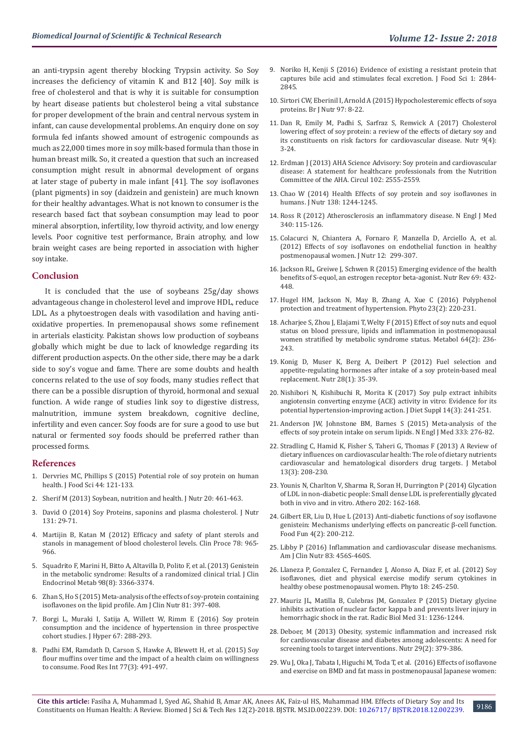an anti-trypsin agent thereby blocking Trypsin activity. So Soy increases the deficiency of vitamin K and B12 [40]. Soy milk is free of cholesterol and that is why it is suitable for consumption by heart disease patients but cholesterol being a vital substance for proper development of the brain and central nervous system in infant, can cause developmental problems. An enquiry done on soy formula fed infants showed amount of estrogenic compounds as much as 22,000 times more in soy milk-based formula than those in human breast milk. So, it created a question that such an increased consumption might result in abnormal development of organs at later stage of puberty in male infant [41]. The soy isoflavones (plant pigments) in soy (daidzein and genistein) are much known for their healthy advantages. What is not known to consumer is the research based fact that soybean consumption may lead to poor mineral absorption, infertility, low thyroid activity, and low energy levels. Poor cognitive test performance, Brain atrophy, and low brain weight cases are being reported in association with higher soy intake.

#### **Conclusion**

It is concluded that the use of soybeans 25g/day shows advantageous change in cholesterol level and improve HDL, reduce LDL. As a phytoestrogen deals with vasodilation and having antioxidative properties. In premenopausal shows some refinement in arterials elasticity. Pakistan shows low production of soybeans globally which might be due to lack of knowledge regarding its different production aspects. On the other side, there may be a dark side to soy's vogue and fame. There are some doubts and health concerns related to the use of soy foods, many studies reflect that there can be a possible disruption of thyroid, hormonal and sexual function. A wide range of studies link soy to digestive distress, malnutrition, immune system breakdown, cognitive decline, infertility and even cancer. Soy foods are for sure a good to use but natural or fermented soy foods should be preferred rather than processed forms.

#### **References**

- 1. Dervries MC, Phillips S (2015) Potential role of soy protein on human health. J Food Sci 44: 121-133.
- 2. [Sherif M \(2013\) Soybean, nutrition and health. J Nutr 20: 461-463.](https://www.intechopen.com/books/soybean-bio-active-compounds/soybean-nutrition-and-health)
- 3. David O (2014) Soy Proteins, saponins and plasma cholesterol. J Nutr 131: 29-71.
- 4. Martijin B, Katan M (2012) Efficacy and safety of plant sterols and stanols in management of blood cholesterol levels. Clin Proce 78: 965- 966.
- 5. [Squadrito F, Marini H, Bitto A, Altavilla D, Polito F, et al. \(2013\) Genistein](https://www.ncbi.nlm.nih.gov/pubmed/23824420)  [in the metabolic syndrome: Results of a randomized clinical trial. J Clin](https://www.ncbi.nlm.nih.gov/pubmed/23824420)  [Endocrinol Metab 98\(8\): 3366-3374.](https://www.ncbi.nlm.nih.gov/pubmed/23824420)
- 6. Zhan S, Ho S (2015) Meta-analysis of the effects of soy-protein containing isoflavones on the lipid profile. Am J Clin Nutr 81: 397-408.
- 7. Borgi L, Muraki I, Satija A, Willett W, Rimm E (2016) Soy protein consumption and the incidence of hypertension in three prospective cohort studies. J Hyper 67: 288-293.
- 8. [Padhi EM, Ramdath D, Carson S, Hawke A, Blewett H, et al. \(2015\) Soy](https://www.sciencedirect.com/science/article/pii/S0963996915301800)  [flour muffins over time and the impact of a health claim on willingness](https://www.sciencedirect.com/science/article/pii/S0963996915301800)  [to consume. Food Res Int 77\(3\): 491-497.](https://www.sciencedirect.com/science/article/pii/S0963996915301800)
- 9. Noriko H, Kenji S (2016) Evidence of existing a resistant protein that captures bile acid and stimulates fecal excretion. J Food Sci 1: 2844- 2845.
- 10. Sirtori CW, Eberinil I, Arnold A (2015) Hypocholesteremic effects of soya proteins. Br J Nutr 97: 8-22.
- 11. [Dan R, Emily M, Padhi S, Sarfraz S, Renwick A \(2017\) Cholesterol](https://www.ncbi.nlm.nih.gov/pubmed/28338639) [lowering effect of soy protein: a review of the effects of dietary soy and](https://www.ncbi.nlm.nih.gov/pubmed/28338639) [its constituents on risk factors for cardiovascular disease. Nutr 9\(4\):](https://www.ncbi.nlm.nih.gov/pubmed/28338639) [3-24.](https://www.ncbi.nlm.nih.gov/pubmed/28338639)
- 12. Erdman J (2013) AHA Science Advisory: Soy protein and cardiovascular disease: A statement for healthcare professionals from the Nutrition Committee of the AHA. Circul 102: 2555-2559.
- 13. Chao W (2014) Health Effects of soy protein and soy isoflavones in humans. J Nutr 138: 1244-1245.
- 14. Ross R (2012) Atherosclerosis an inflammatory disease. N Engl J Med 340: 115-126.
- 15. Colacurci N, Chiantera A, Fornaro F, Manzella D, Arciello A, et al. (2012) Effects of soy isoflavones on endothelial function in healthy postmenopausal women. J Nutr 12: 299-307.
- 16. Jackson RL, Greiwe J, Schwen R (2015) Emerging evidence of the health benefits of S-equol, an estrogen receptor beta-agonist. Nutr Rev 69: 432- 448.
- 17. [Hugel HM, Jackson N, May B, Zhang A, Xue C \(2016\) Polyphenol](https://www.ncbi.nlm.nih.gov/pubmed/26926184) [protection and treatment of hypertension. Phyto 23\(2\): 220-231.](https://www.ncbi.nlm.nih.gov/pubmed/26926184)
- 18. [Acharjee S, Zhou J, Elajami T, Welty F \(2015\) Effect of soy nuts and equol](https://www.ncbi.nlm.nih.gov/pubmed/25441251) [status on blood pressure, lipids and inflammation in postmenopausal](https://www.ncbi.nlm.nih.gov/pubmed/25441251) [women stratified by metabolic syndrome status. Metabol 64\(2\): 236-](https://www.ncbi.nlm.nih.gov/pubmed/25441251) [243.](https://www.ncbi.nlm.nih.gov/pubmed/25441251)
- 19. [Konig D, Muser K, Berg A, Deibert P \(2012\) Fuel selection and](https://www.ncbi.nlm.nih.gov/pubmed/21778035) [appetite-regulating hormones after intake of a soy protein-based meal](https://www.ncbi.nlm.nih.gov/pubmed/21778035) [replacement. Nutr 28\(1\): 35-39.](https://www.ncbi.nlm.nih.gov/pubmed/21778035)
- 20. [Nishibori N, Kishibuchi R, Morita K \(2017\) Soy pulp extract inhibits](https://www.ncbi.nlm.nih.gov/pubmed/27558170) [angiotensin converting enzyme \(ACE\) activity in vitro: Evidence for its](https://www.ncbi.nlm.nih.gov/pubmed/27558170) [potential hypertension-improving action. J Diet Suppl 14\(3\): 241-251.](https://www.ncbi.nlm.nih.gov/pubmed/27558170)
- 21. Anderson JW, Johnstone BM, Barnes S (2015) Meta-analysis of the effects of soy protein intake on serum lipids. N Engl J Med 333: 276-82.
- 22. [Stradling C, Hamid K, Fisher S, Taheri G, Thomas F \(2013\) A Review of](https://www.ncbi.nlm.nih.gov/pubmed/24304234) [dietary influences on cardiovascular health: The role of dietary nutrients](https://www.ncbi.nlm.nih.gov/pubmed/24304234) [cardiovascular and hematological disorders drug targets. J Metabol](https://www.ncbi.nlm.nih.gov/pubmed/24304234) [13\(3\): 208-230.](https://www.ncbi.nlm.nih.gov/pubmed/24304234)
- 23. Younis N, Charlton V, Sharma R, Soran H, Durrington P (2014) Glycation of LDL in non-diabetic people: Small dense LDL is preferentially glycated both in vivo and in vitro. Athero 202: 162-168.
- 24. [Gilbert ER, Liu D, Hue L \(2013\) Anti-diabetic functions of soy isoflavone](https://www.ncbi.nlm.nih.gov/pubmed/23160185) [genistein: Mechanisms underlying effects on pancreatic β-cell function.](https://www.ncbi.nlm.nih.gov/pubmed/23160185) [Food Fun 4\(2\): 200-212.](https://www.ncbi.nlm.nih.gov/pubmed/23160185)
- 25. Libby P (2016) Inflammation and cardiovascular disease mechanisms. Am J Clin Nutr 83: 456S-460S.
- 26. Llaneza P, Gonzalez C, Fernandez J, Alonso A, Diaz F, et al. (2012) Soy isoflavones, diet and physical exercise modify serum cytokines in healthy obese postmenopausal women. Phyto 18: 245-250.
- 27. Mauriz JL, Matilla B, Culebras JM, Gonzalez P (2015) Dietary glycine inhibits activation of nuclear factor kappa b and prevents liver injury in hemorrhagic shock in the rat. Radic Biol Med 31: 1236-1244.
- 28. [Deboer, M \(2013\) Obesity, systemic inflammation and increased risk](https://www.ncbi.nlm.nih.gov/pubmed/23022122) [for cardiovascular disease and diabetes among adolescents: A need for](https://www.ncbi.nlm.nih.gov/pubmed/23022122) [screening tools to target interventions. Nutr 29\(2\): 379-386.](https://www.ncbi.nlm.nih.gov/pubmed/23022122)
- 29. Wu J, Oka J, Tabata I, Higuchi M, Toda T, et al. (2016) Effects of isoflavone and exercise on BMD and fat mass in postmenopausal Japanese women: